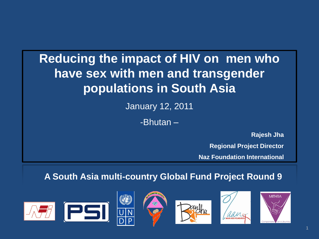#### **Reducing the impact of HIV on men who have sex with men and transgender populations in South Asia**

January 12, 2011

-Bhutan –

**Rajesh Jha**

**Regional Project Director**

**Naz Foundation International**

#### **A South Asia multi-country Global Fund Project Round 9**









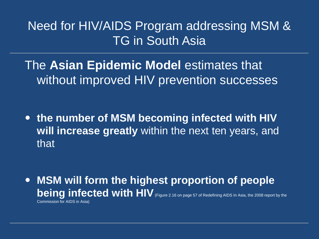Need for HIV/AIDS Program addressing MSM & TG in South Asia

The **Asian Epidemic Model** estimates that without improved HIV prevention successes

 **the number of MSM becoming infected with HIV will increase greatly** within the next ten years, and that

 **MSM will form the highest proportion of people being infected with HIV** (Figure 2.16 on page 57 of Redefining AIDS In Asia, the 2008 report by the Commission for AIDS in Asia)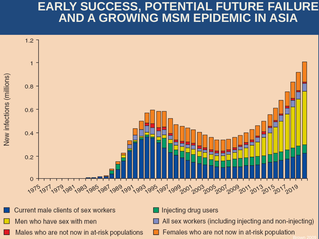#### **EARLY SUCCESS, POTENTIAL FUTURE FAILURE AND A GROWING MSM EPIDEMIC IN ASIA**



- Current male clients of sex workers Men who have sex with men
- Males who are not now in at-risk populations
- Injecting drug users
- All sex workers (including injecting and non-injecting)
- $\Box$  Females who are not now in at-risk population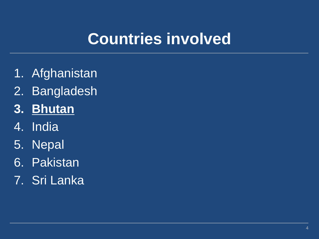## **Countries involved**

- 1. Afghanistan
- 2. Bangladesh
- **3. Bhutan**
- 4. India
- 5. Nepal
- 6. Pakistan
- 7. Sri Lanka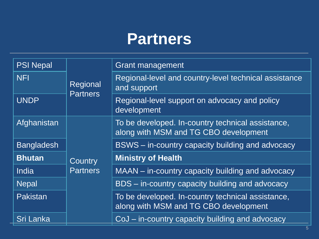#### **Partners**

| <b>PSI Nepal</b>  | Regional<br><b>Partners</b> | <b>Grant management</b>                                                                    |
|-------------------|-----------------------------|--------------------------------------------------------------------------------------------|
| <b>NFI</b>        |                             | Regional-level and country-level technical assistance<br>and support                       |
| <b>UNDP</b>       |                             | Regional-level support on advocacy and policy<br>development                               |
| Afghanistan       | Country<br><b>Partners</b>  | To be developed. In-country technical assistance,<br>along with MSM and TG CBO development |
| <b>Bangladesh</b> |                             | BSWS – in-country capacity building and advocacy                                           |
| <b>Bhutan</b>     |                             | <b>Ministry of Health</b>                                                                  |
| India             |                             | MAAN – in-country capacity building and advocacy                                           |
| <b>Nepal</b>      |                             | BDS – in-country capacity building and advocacy                                            |
| <b>Pakistan</b>   |                             | To be developed. In-country technical assistance,<br>along with MSM and TG CBO development |
| Sri Lanka         |                             | CoJ – in-country capacity building and advocacy                                            |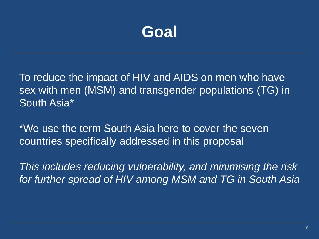

To reduce the impact of HIV and AIDS on men who have sex with men (MSM) and transgender populations (TG) in South Asia\*

\*We use the term South Asia here to cover the seven countries specifically addressed in this proposal

*This includes reducing vulnerability, and minimising the risk for further spread of HIV among MSM and TG in South Asia*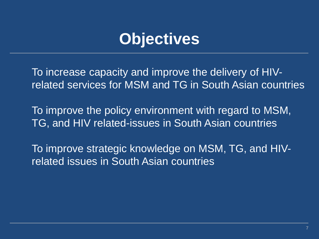### **Objectives**

To increase capacity and improve the delivery of HIVrelated services for MSM and TG in South Asian countries

To improve the policy environment with regard to MSM, TG, and HIV related-issues in South Asian countries

To improve strategic knowledge on MSM, TG, and HIVrelated issues in South Asian countries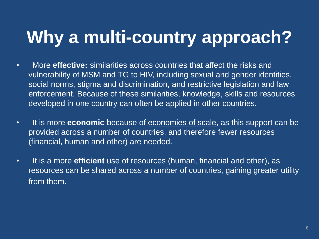# **Why a multi-country approach?**

- More **effective:** similarities across countries that affect the risks and vulnerability of MSM and TG to HIV, including sexual and gender identities, social norms, stigma and discrimination, and restrictive legislation and law enforcement. Because of these similarities, knowledge, skills and resources developed in one country can often be applied in other countries.
- It is more **economic** because of economies of scale, as this support can be provided across a number of countries, and therefore fewer resources (financial, human and other) are needed.
- It is a more **efficient** use of resources (human, financial and other), as resources can be shared across a number of countries, gaining greater utility from them.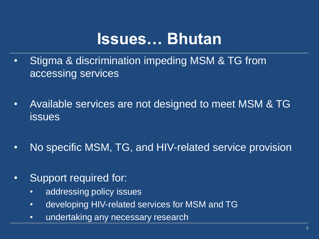#### **Issues… Bhutan**

- Stigma & discrimination impeding MSM & TG from accessing services
- Available services are not designed to meet MSM & TG issues
- No specific MSM, TG, and HIV-related service provision
- Support required for:
	- addressing policy issues
	- developing HIV-related services for MSM and TG
	- undertaking any necessary research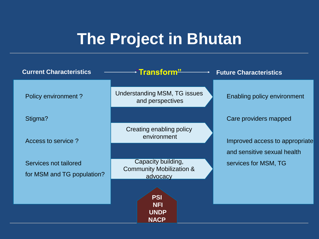## **The Project in Bhutan**

| <b>Current Characteristics</b> | →"Transform <del>"</del>                                  | <b>Future Characteristics</b>      |
|--------------------------------|-----------------------------------------------------------|------------------------------------|
| Policy environment?            | Understanding MSM, TG issues<br>and perspectives          | <b>Enabling policy environment</b> |
| Stigma?                        |                                                           | Care providers mapped              |
| Access to service?             | Creating enabling policy<br>environment                   | Improved access to appropriate     |
|                                |                                                           | and sensitive sexual health        |
| Services not tailored          | Capacity building,<br><b>Community Mobilization &amp;</b> | services for MSM, TG               |
| for MSM and TG population?     | advocacy                                                  |                                    |
|                                | <b>PSI</b><br><b>NFI</b><br><b>UNDP</b><br><b>NACP</b>    |                                    |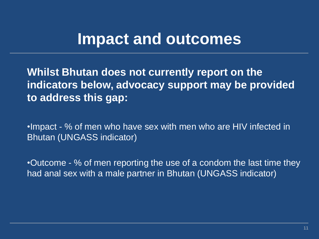#### **Impact and outcomes**

**Whilst Bhutan does not currently report on the indicators below, advocacy support may be provided to address this gap:**

•Impact - % of men who have sex with men who are HIV infected in Bhutan (UNGASS indicator)

•Outcome - % of men reporting the use of a condom the last time they had anal sex with a male partner in Bhutan (UNGASS indicator)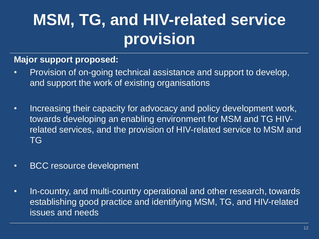## **MSM, TG, and HIV-related service provision**

#### **Major support proposed:**

- Provision of on-going technical assistance and support to develop, and support the work of existing organisations
- Increasing their capacity for advocacy and policy development work, towards developing an enabling environment for MSM and TG HIVrelated services, and the provision of HIV-related service to MSM and TG
- BCC resource development
- In-country, and multi-country operational and other research, towards establishing good practice and identifying MSM, TG, and HIV-related issues and needs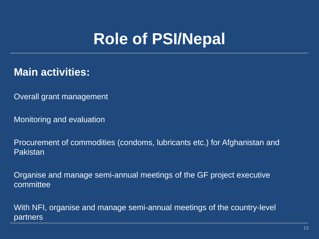## **Role of PSI/Nepal**

#### **Main activities:**

Overall grant management

Monitoring and evaluation

Procurement of commodities (condoms, lubricants etc.) for Afghanistan and Pakistan

Organise and manage semi-annual meetings of the GF project executive committee

With NFI, organise and manage semi-annual meetings of the country-level partners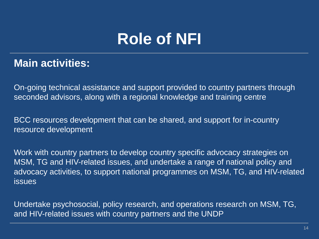## **Role of NFI**

#### **Main activities:**

On-going technical assistance and support provided to country partners through seconded advisors, along with a regional knowledge and training centre

BCC resources development that can be shared, and support for in-country resource development

Work with country partners to develop country specific advocacy strategies on MSM, TG and HIV-related issues, and undertake a range of national policy and advocacy activities, to support national programmes on MSM, TG, and HIV-related **issues** 

Undertake psychosocial, policy research, and operations research on MSM, TG, and HIV-related issues with country partners and the UNDP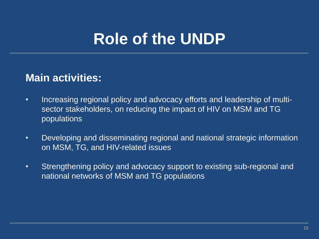### **Role of the UNDP**

#### **Main activities:**

- Increasing regional policy and advocacy efforts and leadership of multisector stakeholders, on reducing the impact of HIV on MSM and TG populations
- Developing and disseminating regional and national strategic information on MSM, TG, and HIV-related issues
- Strengthening policy and advocacy support to existing sub-regional and national networks of MSM and TG populations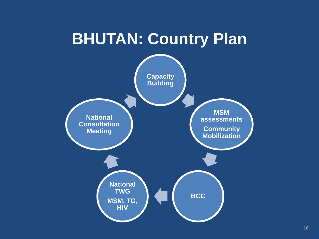### **BHUTAN: Country Plan**

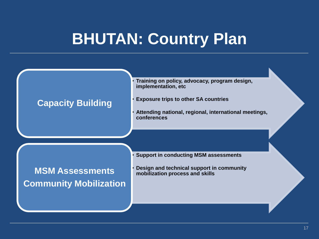### **BHUTAN: Country Plan**

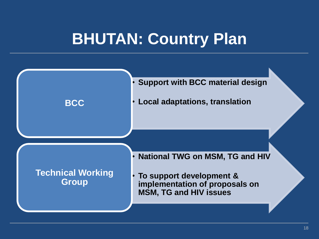### **BHUTAN: Country Plan**

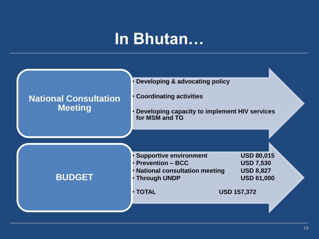#### **In Bhutan…**